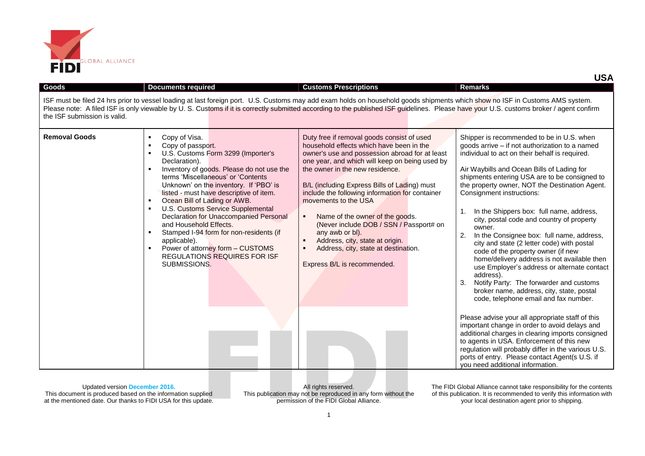

| <b>Goods</b>                 | <b>Documents required</b>                                                                                                                                                                                                                                                                                                                                                                                                                                                                                                                                                                                        | <b>Customs Prescriptions</b>                                                                                                                                                                                                                                                                                                                                                                                                                                                                                                                                                       | <b>Remarks</b>                                                                                                                                                                                                                                                                                                                                                                                                                                                                                                                                                                                                                                                                                                                                                                                                                                                                                                                                 |
|------------------------------|------------------------------------------------------------------------------------------------------------------------------------------------------------------------------------------------------------------------------------------------------------------------------------------------------------------------------------------------------------------------------------------------------------------------------------------------------------------------------------------------------------------------------------------------------------------------------------------------------------------|------------------------------------------------------------------------------------------------------------------------------------------------------------------------------------------------------------------------------------------------------------------------------------------------------------------------------------------------------------------------------------------------------------------------------------------------------------------------------------------------------------------------------------------------------------------------------------|------------------------------------------------------------------------------------------------------------------------------------------------------------------------------------------------------------------------------------------------------------------------------------------------------------------------------------------------------------------------------------------------------------------------------------------------------------------------------------------------------------------------------------------------------------------------------------------------------------------------------------------------------------------------------------------------------------------------------------------------------------------------------------------------------------------------------------------------------------------------------------------------------------------------------------------------|
| the ISF submission is valid. |                                                                                                                                                                                                                                                                                                                                                                                                                                                                                                                                                                                                                  | ISF must be filed 24 hrs prior to vessel loading at last foreign port. U.S. Customs may add exam holds on household goods shipments which show no ISF in Customs AMS system.<br>Please note: A filed ISF is only viewable by U.S. Customs if it is correctly submitted according to the published ISF guidelines. Please have your U.S. customs broker / agent confirm                                                                                                                                                                                                             |                                                                                                                                                                                                                                                                                                                                                                                                                                                                                                                                                                                                                                                                                                                                                                                                                                                                                                                                                |
| <b>Removal Goods</b>         | Copy of Visa.<br>٠<br>Copy of passport.<br>$\blacksquare$<br>U.S. Customs Form 3299 (Importer's<br>л.<br>Declaration).<br>Inventory of goods. Please do not use the<br>terms 'Miscellaneous' or 'Contents<br>Unknown' on the inventory. If 'PBO' is<br>listed - must have descriptive of item.<br>Ocean Bill of Lading or AWB.<br>л.<br>U.S. Customs Service Supplemental<br>л.<br><b>Declaration for Unaccompanied Personal</b><br>and Household Effects.<br>Stamped I-94 form for non-residents (if<br>applicable).<br>Power of attorney form - CUSTOMS<br><b>REGULATIONS REQUIRES FOR ISF</b><br>SUBMISSIONS. | Duty free if removal goods consist of used<br>household effects which have been in the<br>owner's use and possession abroad for at least<br>one year, and which will keep on being used by<br>the owner in the new residence.<br>B/L (including Express Bills of Lading) must<br>include the following information for container<br>movements to the USA<br>Name of the owner of the goods.<br>٠<br>(Never include DOB / SSN / Passport# on<br>any awb or bl).<br>Address, city, state at origin.<br>٠<br>Address, city, state at destination.<br>٠<br>Express B/L is recommended. | Shipper is recommended to be in U.S. when<br>goods arrive - if not authorization to a named<br>individual to act on their behalf is required.<br>Air Waybills and Ocean Bills of Lading for<br>shipments entering USA are to be consigned to<br>the property owner, NOT the Destination Agent.<br>Consignment instructions:<br>In the Shippers box: full name, address,<br>$\mathbf{1}$ .<br>city, postal code and country of property<br>owner.<br>2.<br>In the Consignee box: full name, address,<br>city and state (2 letter code) with postal<br>code of the property owner (if new<br>home/delivery address is not available then<br>use Employer's address or alternate contact<br>address).<br>Notify Party: The forwarder and customs<br>3.<br>broker name, address, city, state, postal<br>code, telephone email and fax number.<br>Please advise your all appropriate staff of this<br>important change in order to avoid delays and |
|                              |                                                                                                                                                                                                                                                                                                                                                                                                                                                                                                                                                                                                                  |                                                                                                                                                                                                                                                                                                                                                                                                                                                                                                                                                                                    | additional charges in clearing imports consigned<br>to agents in USA. Enforcement of this new<br>regulation will probably differ in the various U.S.<br>ports of entry. Please contact Agent(s U.S. if<br>vou need additional information.                                                                                                                                                                                                                                                                                                                                                                                                                                                                                                                                                                                                                                                                                                     |

All rights reserved. This publication may not be reproduced in any form without the permission of the FIDI Global Alliance.

The FIDI Global Alliance cannot take responsibility for the contents of this publication. It is recommended to verify this information with your local destination agent prior to shipping.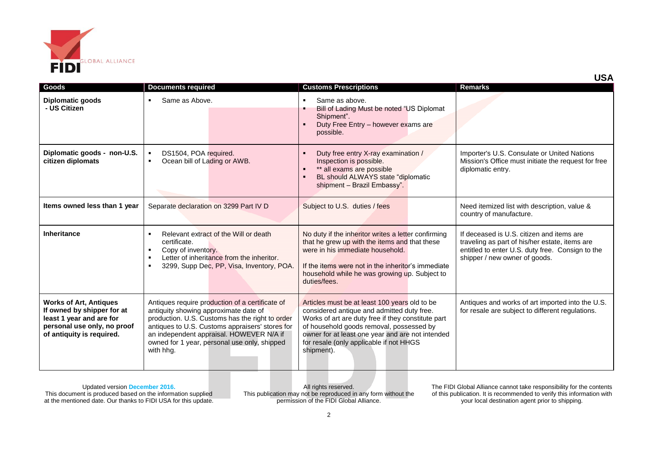

| Goods                                                                                                                                               | <b>Documents required</b>                                                                                                                                                                                                                                                                               | <b>Customs Prescriptions</b>                                                                                                                                                                                                                                                                               | <b>Remarks</b>                                                                                                                                                                   |
|-----------------------------------------------------------------------------------------------------------------------------------------------------|---------------------------------------------------------------------------------------------------------------------------------------------------------------------------------------------------------------------------------------------------------------------------------------------------------|------------------------------------------------------------------------------------------------------------------------------------------------------------------------------------------------------------------------------------------------------------------------------------------------------------|----------------------------------------------------------------------------------------------------------------------------------------------------------------------------------|
| <b>Diplomatic goods</b><br>- US Citizen                                                                                                             | Same as Above.<br>٠                                                                                                                                                                                                                                                                                     | Same as above.<br>$\blacksquare$<br>Bill of Lading Must be noted "US Diplomat<br>Shipment".<br>Duty Free Entry - however exams are<br>possible.                                                                                                                                                            |                                                                                                                                                                                  |
| Diplomatic goods - non-U.S.<br>citizen diplomats                                                                                                    | DS1504, POA required.<br>Ocean bill of Lading or AWB.<br>٠                                                                                                                                                                                                                                              | Duty free entry X-ray examination /<br>Inspection is possible.<br>** all exams are possible<br>BL should ALWAYS state "diplomatic<br>shipment - Brazil Embassy".                                                                                                                                           | Importer's U.S. Consulate or United Nations<br>Mission's Office must initiate the request for free<br>diplomatic entry.                                                          |
| Items owned less than 1 year                                                                                                                        | Separate declaration on 3299 Part IV D                                                                                                                                                                                                                                                                  | Subject to U.S. duties / fees                                                                                                                                                                                                                                                                              | Need itemized list with description, value &<br>country of manufacture.                                                                                                          |
| <b>Inheritance</b>                                                                                                                                  | Relevant extract of the Will or death<br>$\blacksquare$<br>certificate.<br>Copy of inventory.<br>٠<br>Letter of inheritance from the inheritor.<br>٠<br>3299, Supp Dec, PP, Visa, Inventory, POA.<br>$\blacksquare$                                                                                     | No duty if the inheritor writes a letter confirming<br>that he grew up with the items and that these<br>were in his immediate household.<br>If the items were not in the inheritor's immediate<br>household while he was growing up. Subject to<br>duties/fees.                                            | If deceased is U.S. citizen and items are<br>traveling as part of his/her estate, items are<br>entitled to enter U.S. duty free. Consign to the<br>shipper / new owner of goods. |
| <b>Works of Art, Antiques</b><br>If owned by shipper for at<br>least 1 year and are for<br>personal use only, no proof<br>of antiquity is required. | Antiques require production of a certificate of<br>antiquity showing approximate date of<br>production. U.S. Customs has the right to order<br>antiques to U.S. Customs appraisers' stores for<br>an independent appraisal. HOWEVER N/A if<br>owned for 1 year, personal use only, shipped<br>with hha. | Articles must be at least 100 years old to be<br>considered antique and admitted duty free.<br>Works of art are duty free if they constitute part<br>of household goods removal, possessed by<br>owner for at least one year and are not intended<br>for resale (only applicable if not HHGS<br>shipment). | Antiques and works of art imported into the U.S.<br>for resale are subject to different regulations.                                                                             |

All rights reserved. This publication may not be reproduced in any form without the permission of the FIDI Global Alliance.

The FIDI Global Alliance cannot take responsibility for the contents of this publication. It is recommended to verify this information with your local destination agent prior to shipping.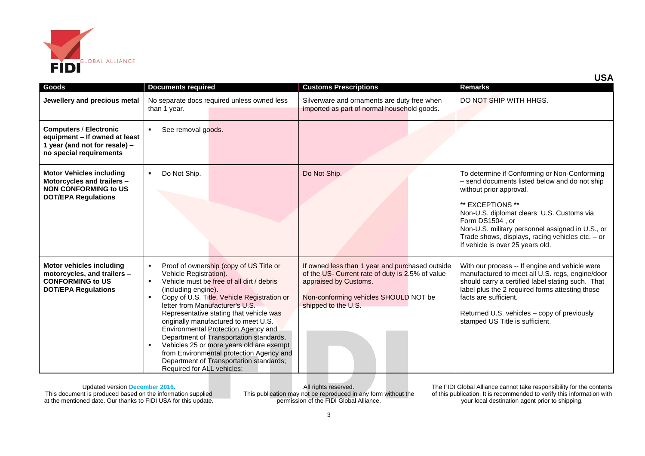

|                                                                                                                            |                                                                                                                                                     |                                                                                                                                                                                                                                                                                                                                                                                                                                                                                |                                                                                                                                                                                              | אטט                                                                                                                                                                                                                                                                                                                                                       |
|----------------------------------------------------------------------------------------------------------------------------|-----------------------------------------------------------------------------------------------------------------------------------------------------|--------------------------------------------------------------------------------------------------------------------------------------------------------------------------------------------------------------------------------------------------------------------------------------------------------------------------------------------------------------------------------------------------------------------------------------------------------------------------------|----------------------------------------------------------------------------------------------------------------------------------------------------------------------------------------------|-----------------------------------------------------------------------------------------------------------------------------------------------------------------------------------------------------------------------------------------------------------------------------------------------------------------------------------------------------------|
| Goods                                                                                                                      | <b>Documents required</b>                                                                                                                           |                                                                                                                                                                                                                                                                                                                                                                                                                                                                                | <b>Customs Prescriptions</b>                                                                                                                                                                 | <b>Remarks</b>                                                                                                                                                                                                                                                                                                                                            |
| Jewellery and precious metal                                                                                               | than 1 year.                                                                                                                                        | No separate docs required unless owned less                                                                                                                                                                                                                                                                                                                                                                                                                                    | Silverware and ornaments are duty free when<br>imported as part of normal household goods.                                                                                                   | DO NOT SHIP WITH HHGS.                                                                                                                                                                                                                                                                                                                                    |
| <b>Computers / Electronic</b><br>equipment - If owned at least<br>1 year (and not for resale) -<br>no special requirements | See removal goods.                                                                                                                                  |                                                                                                                                                                                                                                                                                                                                                                                                                                                                                |                                                                                                                                                                                              |                                                                                                                                                                                                                                                                                                                                                           |
| <b>Motor Vehicles including</b><br>Motorcycles and trailers -<br><b>NON CONFORMING to US</b><br><b>DOT/EPA Regulations</b> | Do Not Ship.<br>л.                                                                                                                                  |                                                                                                                                                                                                                                                                                                                                                                                                                                                                                | Do Not Ship.                                                                                                                                                                                 | To determine if Conforming or Non-Conforming<br>- send documents listed below and do not ship<br>without prior approval.<br>** EXCEPTIONS **<br>Non-U.S. diplomat clears U.S. Customs via<br>Form DS1504 . or<br>Non-U.S. military personnel assigned in U.S., or<br>Trade shows, displays, racing vehicles etc. - or<br>If vehicle is over 25 years old. |
| <b>Motor vehicles including</b><br>motorcycles, and trailers -<br><b>CONFORMING to US</b><br><b>DOT/EPA Regulations</b>    | $\blacksquare$<br>Vehicle Registration).<br>$\blacksquare$<br>(including engine).<br>$\blacksquare$<br>$\blacksquare$<br>Required for ALL vehicles: | Proof of ownership (copy of US Title or<br>Vehicle must be free of all dirt / debris<br>Copy of U.S. Title, Vehicle Registration or<br>letter from Manufacturer's U.S.<br>Representative stating that vehicle was<br>originally manufactured to meet U.S.<br>Environmental Protection Agency and<br>Department of Transportation standards.<br>Vehicles 25 or more years old are exempt<br>from Environmental protection Agency and<br>Department of Transportation standards; | If owned less than 1 year and purchased outside<br>of the US- Current rate of duty is 2.5% of value<br>appraised by Customs.<br>Non-conforming vehicles SHOULD NOT be<br>shipped to the U.S. | With our process -- If engine and vehicle were<br>manufactured to meet all U.S. regs, engine/door<br>should carry a certified label stating such. That<br>label plus the 2 required forms attesting those<br>facts are sufficient.<br>Returned U.S. vehicles - copy of previously<br>stamped US Title is sufficient.                                      |

All rights reserved. This publication may not be reproduced in any form without the permission of the FIDI Global Alliance.

The FIDI Global Alliance cannot take responsibility for the contents of this publication. It is recommended to verify this information with your local destination agent prior to shipping.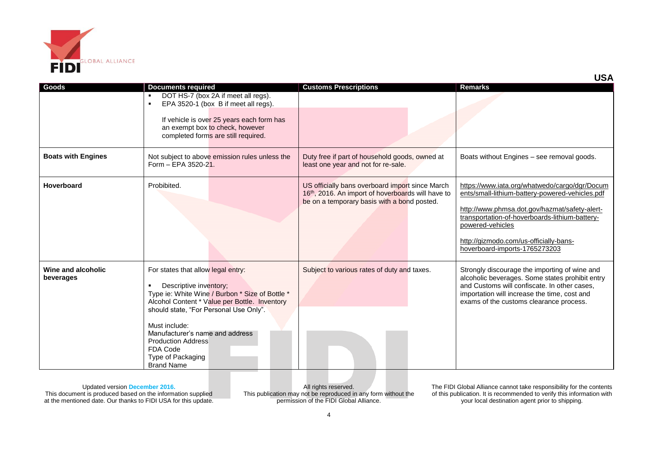

| Goods                           | <b>Documents required</b><br>DOT HS-7 (box 2A if meet all regs).<br>EPA 3520-1 (box B if meet all regs).<br>If vehicle is over 25 years each form has<br>an exempt box to check, however<br>completed forms are still required.                                                                                                                   | <b>Customs Prescriptions</b>                                                                                                                        | <b>Remarks</b>                                                                                                                                                                                                                                                                                     |
|---------------------------------|---------------------------------------------------------------------------------------------------------------------------------------------------------------------------------------------------------------------------------------------------------------------------------------------------------------------------------------------------|-----------------------------------------------------------------------------------------------------------------------------------------------------|----------------------------------------------------------------------------------------------------------------------------------------------------------------------------------------------------------------------------------------------------------------------------------------------------|
| <b>Boats with Engines</b>       | Not subject to above emission rules unless the<br>Form - EPA 3520-21.                                                                                                                                                                                                                                                                             | Duty free if part of household goods, owned at<br>least one year and not for re-sale.                                                               | Boats without Engines - see removal goods.                                                                                                                                                                                                                                                         |
| <b>Hoverboard</b>               | Probibited.                                                                                                                                                                                                                                                                                                                                       | US officially bans overboard import since March<br>16th, 2016. An import of hoverboards will have to<br>be on a temporary basis with a bond posted. | https://www.iata.org/whatwedo/cargo/dgr/Docum<br>ents/small-lithium-battery-powered-vehicles.pdf<br>http://www.phmsa.dot.gov/hazmat/safety-alert-<br>transportation-of-hoverboards-lithium-battery-<br>powered-vehicles<br>http://gizmodo.com/us-officially-bans-<br>hoverboard-imports-1765273203 |
| Wine and alcoholic<br>beverages | For states that allow legal entry:<br>Descriptive inventory;<br>Type ie: White Wine / Burbon * Size of Bottle *<br>Alcohol Content * Value per Bottle. Inventory<br>should state, "For Personal Use Only".<br>Must include:<br>Manufacturer's name and address<br><b>Production Address</b><br>FDA Code<br>Type of Packaging<br><b>Brand Name</b> | Subject to various rates of duty and taxes.                                                                                                         | Strongly discourage the importing of wine and<br>alcoholic beverages. Some states prohibit entry<br>and Customs will confiscate. In other cases,<br>importation will increase the time, cost and<br>exams of the customs clearance process.                                                        |

All rights reserved. This publication may not be reproduced in any form without the permission of the FIDI Global Alliance.

The FIDI Global Alliance cannot take responsibility for the contents of this publication. It is recommended to verify this information with your local destination agent prior to shipping.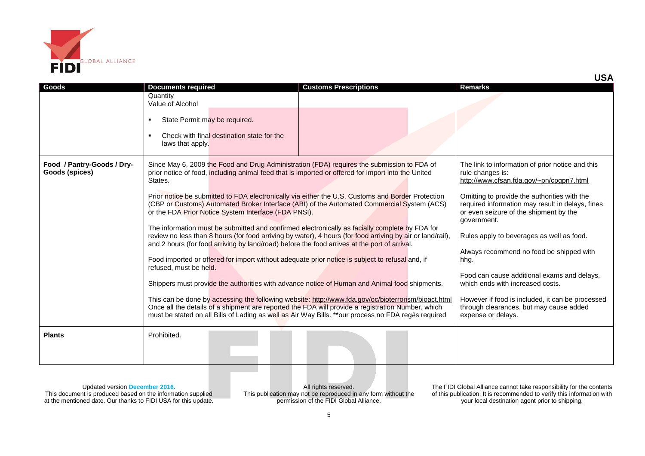

| Goods                                        |                                                                                                                                                                                                             |                                                                                                                                                                                                                                                                                                                 | <b>Remarks</b>                                                                                                                                            |
|----------------------------------------------|-------------------------------------------------------------------------------------------------------------------------------------------------------------------------------------------------------------|-----------------------------------------------------------------------------------------------------------------------------------------------------------------------------------------------------------------------------------------------------------------------------------------------------------------|-----------------------------------------------------------------------------------------------------------------------------------------------------------|
|                                              | <b>Documents required</b><br>Quantity<br>Value of Alcohol                                                                                                                                                   | <b>Customs Prescriptions</b>                                                                                                                                                                                                                                                                                    |                                                                                                                                                           |
|                                              | State Permit may be required.<br>$\blacksquare$                                                                                                                                                             |                                                                                                                                                                                                                                                                                                                 |                                                                                                                                                           |
|                                              | Check with final destination state for the<br>$\blacksquare$<br>laws that apply.                                                                                                                            |                                                                                                                                                                                                                                                                                                                 |                                                                                                                                                           |
| Food / Pantry-Goods / Dry-<br>Goods (spices) | Since May 6, 2009 the Food and Drug Administration (FDA) requires the submission to FDA of<br>prior notice of food, including animal feed that is imported or offered for import into the United<br>States. |                                                                                                                                                                                                                                                                                                                 | The link to information of prior notice and this<br>rule changes is:<br>http://www.cfsan.fda.gov/~pn/cpgpn7.html                                          |
|                                              | or the FDA Prior Notice System Interface (FDA PNSI).                                                                                                                                                        | Prior notice be submitted to FDA electronically via either the U.S. Customs and Border Protection<br>(CBP or Customs) Automated Broker Interface (ABI) of the Automated Commercial System (ACS)                                                                                                                 | Omitting to provide the authorities with the<br>required information may result in delays, fines<br>or even seizure of the shipment by the<br>government. |
|                                              | and 2 hours (for food arriving by land/road) before the food arrives at the port of arrival.                                                                                                                | The information must be submitted and confirmed electronically as facially complete by FDA for<br>review no less than 8 hours (for food arriving by water), 4 hours (for food arriving by air or land/rail),                                                                                                    | Rules apply to beverages as well as food.                                                                                                                 |
|                                              | Food imported or offered for import without adequate prior notice is subject to refusal and, if<br>refused, must be held.                                                                                   |                                                                                                                                                                                                                                                                                                                 | Always recommend no food be shipped with<br>hhg.                                                                                                          |
|                                              |                                                                                                                                                                                                             | Shippers must provide the authorities with advance notice of Human and Animal food shipments.                                                                                                                                                                                                                   | Food can cause additional exams and delays,<br>which ends with increased costs.                                                                           |
|                                              |                                                                                                                                                                                                             | This can be done by accessing the following website: http://www.fda.gov/oc/bioterrorism/bioact.html<br>Once all the details of a shipment are reported the FDA will provide a registration Number, which<br>must be stated on all Bills of Lading as well as Air Way Bills. **our process no FDA reg#s required | However if food is included, it can be processed<br>through clearances, but may cause added<br>expense or delays.                                         |
| <b>Plants</b>                                | Prohibited.                                                                                                                                                                                                 |                                                                                                                                                                                                                                                                                                                 |                                                                                                                                                           |

All rights reserved. This publication may not be reproduced in any form without the permission of the FIDI Global Alliance.

The FIDI Global Alliance cannot take responsibility for the contents of this publication. It is recommended to verify this information with your local destination agent prior to shipping.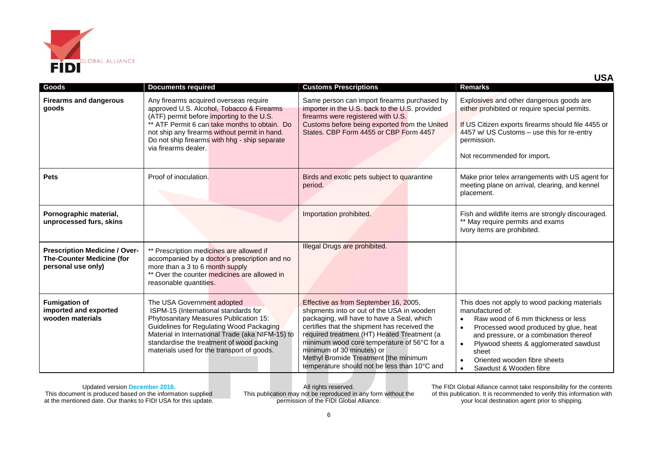

|                                                                                                |                                                                                                                                                                                                                                                                                                             |                                                                                                                                                                                                                                                                                                                                                                                                       | <b>USA</b>                                                                                                                                                                                                                                                                                             |
|------------------------------------------------------------------------------------------------|-------------------------------------------------------------------------------------------------------------------------------------------------------------------------------------------------------------------------------------------------------------------------------------------------------------|-------------------------------------------------------------------------------------------------------------------------------------------------------------------------------------------------------------------------------------------------------------------------------------------------------------------------------------------------------------------------------------------------------|--------------------------------------------------------------------------------------------------------------------------------------------------------------------------------------------------------------------------------------------------------------------------------------------------------|
| <b>Goods</b>                                                                                   | <b>Documents required</b>                                                                                                                                                                                                                                                                                   | <b>Customs Prescriptions</b>                                                                                                                                                                                                                                                                                                                                                                          | <b>Remarks</b>                                                                                                                                                                                                                                                                                         |
| <b>Firearms and dangerous</b><br>goods                                                         | Any firearms acquired overseas require<br>approved U.S. Alcohol, Tobacco & Firearms<br>(ATF) permit before importing to the U.S.<br>** ATF Permit 6 can take months to obtain. Do<br>not ship any firearms without permit in hand.<br>Do not ship firearms with hhg - ship separate<br>via firearms dealer. | Same person can import firearms purchased by<br>importer in the U.S. back to the U.S. provided<br>firearms were registered with U.S.<br>Customs before being exported from the United<br>States, CBP Form 4455 or CBP Form 4457                                                                                                                                                                       | Explosives and other dangerous goods are<br>either prohibited or require special permits.<br>If US Citizen exports firearms should file 4455 or<br>4457 w/ US Customs - use this for re-entry<br>permission.<br>Not recommended for import.                                                            |
| <b>Pets</b>                                                                                    | Proof of inoculation.                                                                                                                                                                                                                                                                                       | Birds and exotic pets subject to quarantine<br>period.                                                                                                                                                                                                                                                                                                                                                | Make prior telex arrangements with US agent for<br>meeting plane on arrival, clearing, and kennel<br>placement.                                                                                                                                                                                        |
| Pornographic material,<br>unprocessed furs, skins                                              |                                                                                                                                                                                                                                                                                                             | Importation prohibited.                                                                                                                                                                                                                                                                                                                                                                               | Fish and wildlife items are strongly discouraged.<br>** May require permits and exams<br>Ivory items are prohibited.                                                                                                                                                                                   |
| <b>Prescription Medicine / Over-</b><br><b>The-Counter Medicine (for</b><br>personal use only) | Prescription medicines are allowed if<br>accompanied by a doctor's prescription and no<br>more than a 3 to 6 month supply<br>** Over the counter medicines are allowed in<br>reasonable quantities.                                                                                                         | Illegal Drugs are prohibited.                                                                                                                                                                                                                                                                                                                                                                         |                                                                                                                                                                                                                                                                                                        |
| <b>Fumigation of</b><br>imported and exported<br>wooden materials                              | The USA Government adopted<br>ISPM-15 (International standards for<br>Phytosanitary Measures Publication 15:<br>Guidelines for Regulating Wood Packaging<br>Material in International Trade (aka NIFM-15) to<br>standardise the treatment of wood packing<br>materials used for the transport of goods.     | Effective as from September 16, 2005,<br>shipments into or out of the USA in wooden<br>packaging, will have to have a Seal, which<br>certifies that the shipment has received the<br>required treatment (HT) Heated Treatment (a<br>minimum wood core temperature of 56°C for a<br>minimum of 30 minutes) or<br>Methyl Bromide Treatment [the minimum<br>temperature should not be less than 10°C and | This does not apply to wood packing materials<br>manufactured of:<br>Raw wood of 6 mm thickness or less<br>Processed wood produced by glue, heat<br>and pressure, or a combination thereof<br>Plywood sheets & agglomerated sawdust<br>sheet<br>Oriented wooden fibre sheets<br>Sawdust & Wooden fibre |

All rights reserved. This publication may not be reproduced in any form without the permission of the FIDI Global Alliance.

The FIDI Global Alliance cannot take responsibility for the contents of this publication. It is recommended to verify this information with your local destination agent prior to shipping.